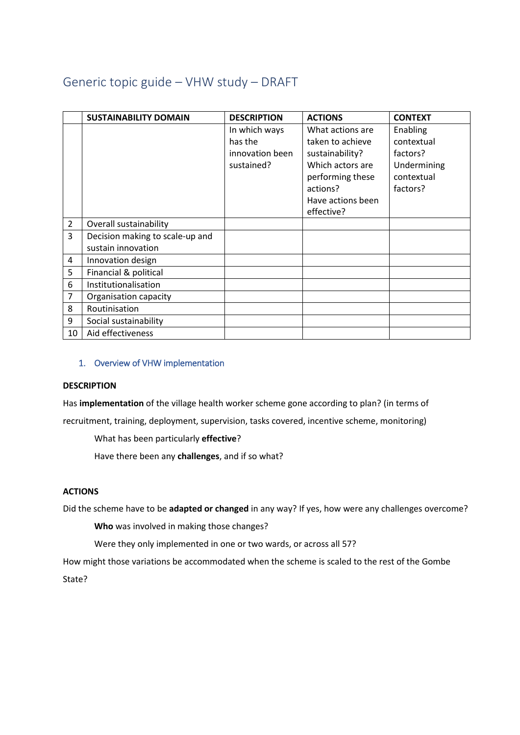# Generic topic guide – VHW study – DRAFT

|                | <b>SUSTAINABILITY DOMAIN</b>    | <b>DESCRIPTION</b>       | <b>ACTIONS</b>    | <b>CONTEXT</b> |
|----------------|---------------------------------|--------------------------|-------------------|----------------|
|                |                                 | In which ways<br>has the | What actions are  | Enabling       |
|                |                                 |                          | taken to achieve  | contextual     |
|                |                                 | innovation been          | sustainability?   | factors?       |
|                |                                 | sustained?               | Which actors are  | Undermining    |
|                |                                 |                          | performing these  | contextual     |
|                |                                 |                          | actions?          | factors?       |
|                |                                 |                          | Have actions been |                |
|                |                                 |                          | effective?        |                |
| $\overline{2}$ | Overall sustainability          |                          |                   |                |
| 3              | Decision making to scale-up and |                          |                   |                |
|                | sustain innovation              |                          |                   |                |
| 4              | Innovation design               |                          |                   |                |
| 5              | Financial & political           |                          |                   |                |
| 6              | Institutionalisation            |                          |                   |                |
| 7              | Organisation capacity           |                          |                   |                |
| 8              | Routinisation                   |                          |                   |                |
| 9              | Social sustainability           |                          |                   |                |
| 10             | Aid effectiveness               |                          |                   |                |

# 1. Overview of VHW implementation

## **DESCRIPTION**

Has **implementation** of the village health worker scheme gone according to plan? (in terms of

recruitment, training, deployment, supervision, tasks covered, incentive scheme, monitoring)

What has been particularly **effective**?

Have there been any **challenges**, and if so what?

## **ACTIONS**

Did the scheme have to be **adapted or changed** in any way? If yes, how were any challenges overcome?

**Who** was involved in making those changes?

Were they only implemented in one or two wards, or across all 57?

How might those variations be accommodated when the scheme is scaled to the rest of the Gombe State?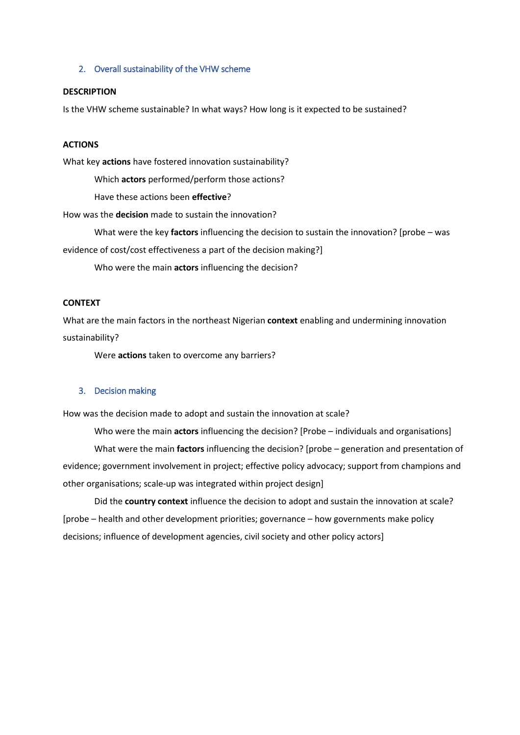#### 2. Overall sustainability of the VHW scheme

#### **DESCRIPTION**

Is the VHW scheme sustainable? In what ways? How long is it expected to be sustained?

#### **ACTIONS**

What key **actions** have fostered innovation sustainability?

Which **actors** performed/perform those actions?

Have these actions been **effective**?

How was the **decision** made to sustain the innovation?

What were the key **factors** influencing the decision to sustain the innovation? [probe – was evidence of cost/cost effectiveness a part of the decision making?]

Who were the main **actors** influencing the decision?

## **CONTEXT**

What are the main factors in the northeast Nigerian **context** enabling and undermining innovation sustainability?

Were **actions** taken to overcome any barriers?

#### 3. Decision making

How was the decision made to adopt and sustain the innovation at scale?

Who were the main **actors** influencing the decision? [Probe – individuals and organisations] What were the main **factors** influencing the decision? [probe – generation and presentation of evidence; government involvement in project; effective policy advocacy; support from champions and other organisations; scale-up was integrated within project design]

Did the **country context** influence the decision to adopt and sustain the innovation at scale? [probe – health and other development priorities; governance – how governments make policy decisions; influence of development agencies, civil society and other policy actors]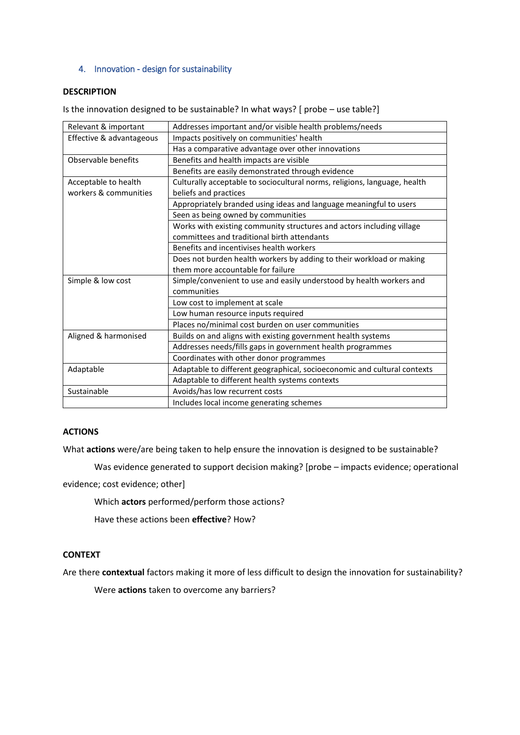## 4. Innovation - design for sustainability

## **DESCRIPTION**

Is the innovation designed to be sustainable? In what ways? [ probe – use table?]

| Relevant & important     | Addresses important and/or visible health problems/needs                  |  |  |
|--------------------------|---------------------------------------------------------------------------|--|--|
| Effective & advantageous | Impacts positively on communities' health                                 |  |  |
|                          | Has a comparative advantage over other innovations                        |  |  |
| Observable benefits      | Benefits and health impacts are visible                                   |  |  |
|                          | Benefits are easily demonstrated through evidence                         |  |  |
| Acceptable to health     | Culturally acceptable to sociocultural norms, religions, language, health |  |  |
| workers & communities    | beliefs and practices                                                     |  |  |
|                          | Appropriately branded using ideas and language meaningful to users        |  |  |
|                          | Seen as being owned by communities                                        |  |  |
|                          | Works with existing community structures and actors including village     |  |  |
|                          | committees and traditional birth attendants                               |  |  |
|                          | Benefits and incentivises health workers                                  |  |  |
|                          | Does not burden health workers by adding to their workload or making      |  |  |
|                          | them more accountable for failure                                         |  |  |
| Simple & low cost        | Simple/convenient to use and easily understood by health workers and      |  |  |
|                          | communities                                                               |  |  |
|                          | Low cost to implement at scale                                            |  |  |
|                          | Low human resource inputs required                                        |  |  |
|                          | Places no/minimal cost burden on user communities                         |  |  |
| Aligned & harmonised     | Builds on and aligns with existing government health systems              |  |  |
|                          | Addresses needs/fills gaps in government health programmes                |  |  |
|                          | Coordinates with other donor programmes                                   |  |  |
| Adaptable                | Adaptable to different geographical, socioeconomic and cultural contexts  |  |  |
|                          | Adaptable to different health systems contexts                            |  |  |
| Sustainable              | Avoids/has low recurrent costs                                            |  |  |
|                          | Includes local income generating schemes                                  |  |  |

#### **ACTIONS**

What **actions** were/are being taken to help ensure the innovation is designed to be sustainable?

Was evidence generated to support decision making? [probe – impacts evidence; operational evidence; cost evidence; other]

Which **actors** performed/perform those actions?

Have these actions been **effective**? How?

## **CONTEXT**

Are there **contextual** factors making it more of less difficult to design the innovation for sustainability?

Were **actions** taken to overcome any barriers?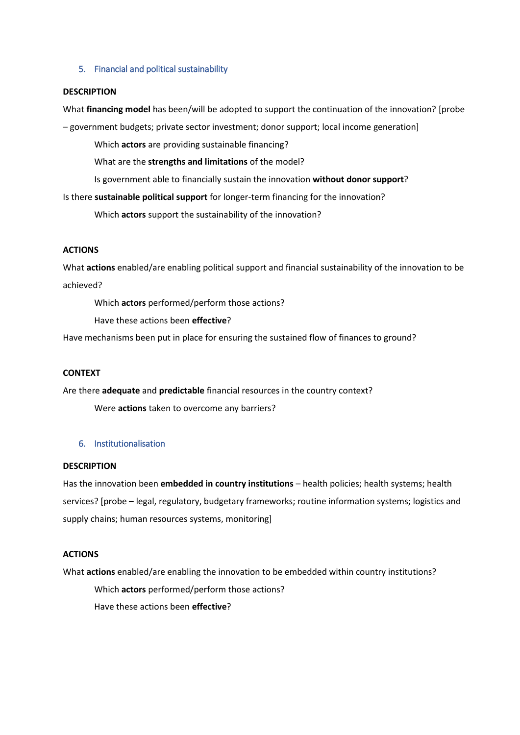## 5. Financial and political sustainability

#### **DESCRIPTION**

What **financing model** has been/will be adopted to support the continuation of the innovation? [probe

– government budgets; private sector investment; donor support; local income generation]

Which **actors** are providing sustainable financing?

What are the **strengths and limitations** of the model?

Is government able to financially sustain the innovation **without donor support**?

Is there **sustainable political support** for longer-term financing for the innovation?

Which **actors** support the sustainability of the innovation?

## **ACTIONS**

What **actions** enabled/are enabling political support and financial sustainability of the innovation to be achieved?

Which **actors** performed/perform those actions?

Have these actions been **effective**?

Have mechanisms been put in place for ensuring the sustained flow of finances to ground?

## **CONTEXT**

Are there **adequate** and **predictable** financial resources in the country context?

Were **actions** taken to overcome any barriers?

# 6. Institutionalisation

## **DESCRIPTION**

Has the innovation been **embedded in country institutions** – health policies; health systems; health services? [probe – legal, regulatory, budgetary frameworks; routine information systems; logistics and supply chains; human resources systems, monitoring]

## **ACTIONS**

What **actions** enabled/are enabling the innovation to be embedded within country institutions?

Which **actors** performed/perform those actions? Have these actions been **effective**?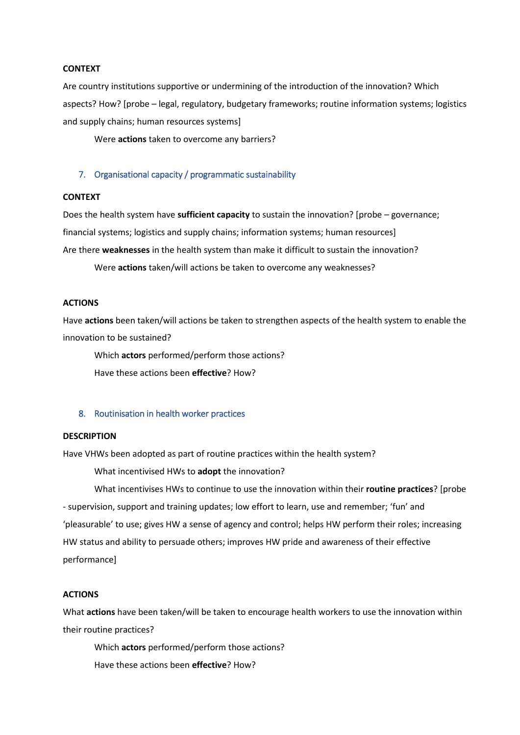#### **CONTEXT**

Are country institutions supportive or undermining of the introduction of the innovation? Which aspects? How? [probe – legal, regulatory, budgetary frameworks; routine information systems; logistics and supply chains; human resources systems]

Were **actions** taken to overcome any barriers?

#### 7. Organisational capacity / programmatic sustainability

#### **CONTEXT**

Does the health system have **sufficient capacity** to sustain the innovation? [probe – governance; financial systems; logistics and supply chains; information systems; human resources] Are there **weaknesses** in the health system than make it difficult to sustain the innovation? Were **actions** taken/will actions be taken to overcome any weaknesses?

## **ACTIONS**

Have **actions** been taken/will actions be taken to strengthen aspects of the health system to enable the innovation to be sustained?

Which **actors** performed/perform those actions? Have these actions been **effective**? How?

#### 8. Routinisation in health worker practices

#### **DESCRIPTION**

Have VHWs been adopted as part of routine practices within the health system?

What incentivised HWs to **adopt** the innovation?

What incentivises HWs to continue to use the innovation within their **routine practices**? [probe - supervision, support and training updates; low effort to learn, use and remember; 'fun' and 'pleasurable' to use; gives HW a sense of agency and control; helps HW perform their roles; increasing HW status and ability to persuade others; improves HW pride and awareness of their effective performance]

# **ACTIONS**

What **actions** have been taken/will be taken to encourage health workers to use the innovation within their routine practices?

Which **actors** performed/perform those actions?

Have these actions been **effective**? How?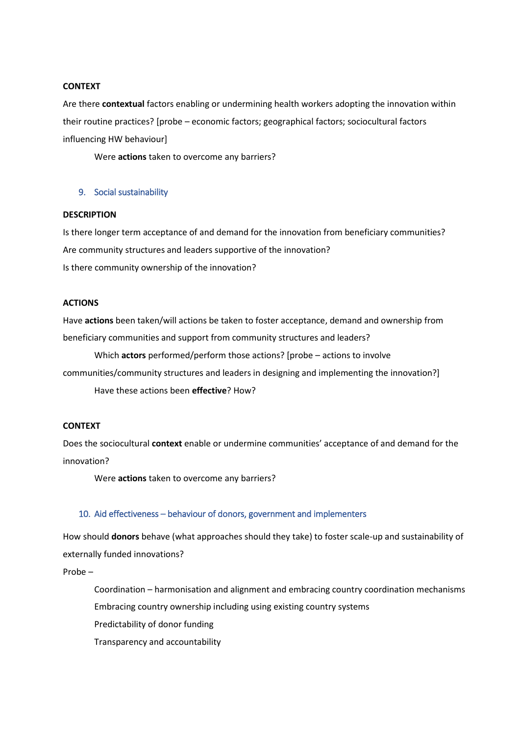#### **CONTEXT**

Are there **contextual** factors enabling or undermining health workers adopting the innovation within their routine practices? [probe – economic factors; geographical factors; sociocultural factors influencing HW behaviour]

Were **actions** taken to overcome any barriers?

#### 9. Social sustainability

#### **DESCRIPTION**

Is there longer term acceptance of and demand for the innovation from beneficiary communities? Are community structures and leaders supportive of the innovation? Is there community ownership of the innovation?

## **ACTIONS**

Have **actions** been taken/will actions be taken to foster acceptance, demand and ownership from beneficiary communities and support from community structures and leaders?

Which **actors** performed/perform those actions? [probe – actions to involve communities/community structures and leaders in designing and implementing the innovation?] Have these actions been **effective**? How?

## **CONTEXT**

Does the sociocultural **context** enable or undermine communities' acceptance of and demand for the innovation?

Were **actions** taken to overcome any barriers?

# 10. Aid effectiveness – behaviour of donors, government and implementers

How should **donors** behave (what approaches should they take) to foster scale-up and sustainability of externally funded innovations?

Probe –

Coordination – harmonisation and alignment and embracing country coordination mechanisms Embracing country ownership including using existing country systems Predictability of donor funding Transparency and accountability